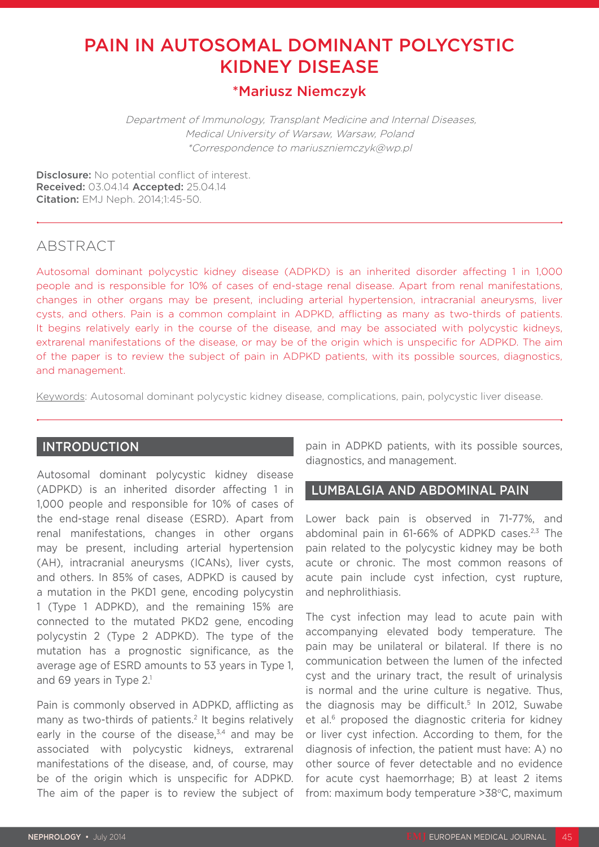# PAIN IN AUTOSOMAL DOMINANT POLYCYSTIC KIDNEY DISEASE

## \*Mariusz Niemczyk

 Department of Immunology, Transplant Medicine and Internal Diseases, Medical University of Warsaw, Warsaw, Poland \*Correspondence to mariuszniemczyk@wp.pl

Disclosure: No potential conflict of interest. Received: 03.04.14 Accepted: 25.04.14 **Citation:** EMJ Neph. 2014;1:45-50.

## ABSTRACT

Autosomal dominant polycystic kidney disease (ADPKD) is an inherited disorder affecting 1 in 1,000 people and is responsible for 10% of cases of end-stage renal disease. Apart from renal manifestations, changes in other organs may be present, including arterial hypertension, intracranial aneurysms, liver cysts, and others. Pain is a common complaint in ADPKD, afflicting as many as two-thirds of patients. It begins relatively early in the course of the disease, and may be associated with polycystic kidneys, extrarenal manifestations of the disease, or may be of the origin which is unspecific for ADPKD. The aim of the paper is to review the subject of pain in ADPKD patients, with its possible sources, diagnostics, and management.

Keywords: Autosomal dominant polycystic kidney disease, complications, pain, polycystic liver disease.

## INTRODUCTION

Autosomal dominant polycystic kidney disease (ADPKD) is an inherited disorder affecting 1 in 1,000 people and responsible for 10% of cases of the end-stage renal disease (ESRD). Apart from renal manifestations, changes in other organs may be present, including arterial hypertension (AH), intracranial aneurysms (ICANs), liver cysts, and others. In 85% of cases, ADPKD is caused by a mutation in the PKD1 gene, encoding polycystin 1 (Type 1 ADPKD), and the remaining 15% are connected to the mutated PKD2 gene, encoding polycystin 2 (Type 2 ADPKD). The type of the mutation has a prognostic significance, as the average age of ESRD amounts to 53 years in Type 1, and 69 years in Type 2.<sup>1</sup>

Pain is commonly observed in ADPKD, afflicting as many as two-thirds of patients.2 It begins relatively early in the course of the disease, $3,4$  and may be associated with polycystic kidneys, extrarenal manifestations of the disease, and, of course, may be of the origin which is unspecific for ADPKD. The aim of the paper is to review the subject of pain in ADPKD patients, with its possible sources, diagnostics, and management.

## LUMBALGIA AND ABDOMINAL PAIN

Lower back pain is observed in 71-77%, and abdominal pain in 61-66% of ADPKD cases.<sup>2,3</sup> The pain related to the polycystic kidney may be both acute or chronic. The most common reasons of acute pain include cyst infection, cyst rupture, and nephrolithiasis.

The cyst infection may lead to acute pain with accompanying elevated body temperature. The pain may be unilateral or bilateral. If there is no communication between the lumen of the infected cyst and the urinary tract, the result of urinalysis is normal and the urine culture is negative. Thus, the diagnosis may be difficult.<sup>5</sup> In 2012, Suwabe et al.<sup>6</sup> proposed the diagnostic criteria for kidney or liver cyst infection. According to them, for the diagnosis of infection, the patient must have: A) no other source of fever detectable and no evidence for acute cyst haemorrhage; B) at least 2 items from: maximum body temperature >38°C, maximum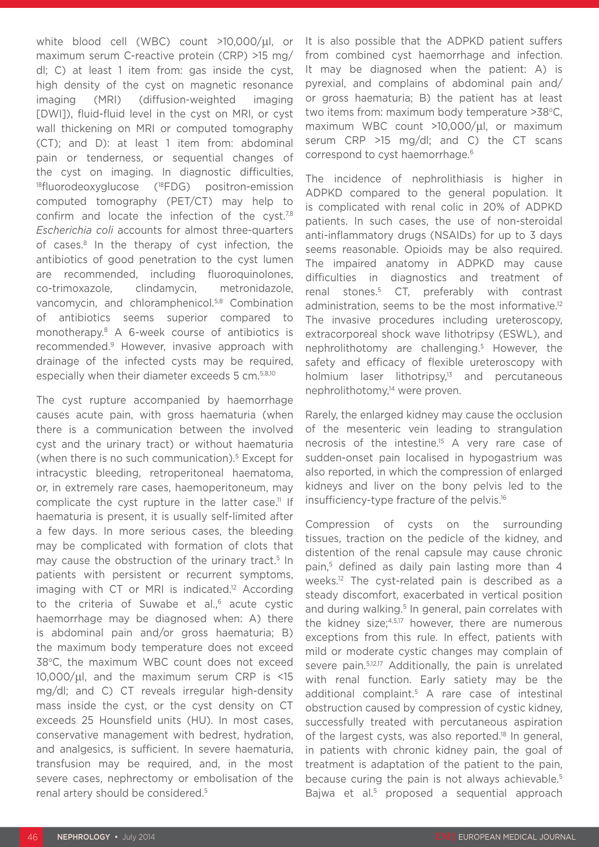white blood cell (WBC) count >10,000/μl, or maximum serum C-reactive protein (CRP) >15 mg/ dl; C) at least 1 item from: gas inside the cyst, high density of the cyst on magnetic resonance imaging (MRI) (diffusion-weighted imaging [DWI]), fluid-fluid level in the cyst on MRI, or cyst wall thickening on MRI or computed tomography (CT); and D): at least 1 item from: abdominal pain or tenderness, or sequential changes of the cyst on imaging. In diagnostic difficulties, <sup>18</sup>fluorodeoxyglucose (<sup>18</sup>FDG) positron-emission computed tomography (PET/CT) may help to confirm and locate the infection of the cyst.<sup>7,8</sup> *Escherichia coli* accounts for almost three-quarters of cases.8 In the therapy of cyst infection, the antibiotics of good penetration to the cyst lumen are recommended, including fluoroquinolones, co-trimoxazole, clindamycin, metronidazole, vancomycin, and chloramphenicol.5,8 Combination of antibiotics seems superior compared to monotherapy.8 A 6-week course of antibiotics is recommended.9 However, invasive approach with drainage of the infected cysts may be required, especially when their diameter exceeds 5 cm.5,8,10

The cyst rupture accompanied by haemorrhage causes acute pain, with gross haematuria (when there is a communication between the involved cyst and the urinary tract) or without haematuria (when there is no such communication).5 Except for intracystic bleeding, retroperitoneal haematoma, or, in extremely rare cases, haemoperitoneum, may complicate the cyst rupture in the latter case.<sup>11</sup> If haematuria is present, it is usually self-limited after a few days. In more serious cases, the bleeding may be complicated with formation of clots that may cause the obstruction of the urinary tract.<sup>5</sup> In patients with persistent or recurrent symptoms, imaging with CT or MRI is indicated.<sup>12</sup> According to the criteria of Suwabe et al.,<sup>6</sup> acute cystic haemorrhage may be diagnosed when: A) there is abdominal pain and/or gross haematuria; B) the maximum body temperature does not exceed 38°C, the maximum WBC count does not exceed 10,000/μl, and the maximum serum CRP is <15 mg/dl; and C) CT reveals irregular high-density mass inside the cyst, or the cyst density on CT exceeds 25 Hounsfield units (HU). In most cases, conservative management with bedrest, hydration, and analgesics, is sufficient. In severe haematuria, transfusion may be required, and, in the most severe cases, nephrectomy or embolisation of the renal artery should be considered.5

It is also possible that the ADPKD patient suffers from combined cyst haemorrhage and infection. It may be diagnosed when the patient: A) is pyrexial, and complains of abdominal pain and/ or gross haematuria; B) the patient has at least two items from: maximum body temperature  $>38^{\circ}$ C, maximum WBC count >10,000/μl, or maximum serum CRP >15 mg/dl; and C) the CT scans correspond to cyst haemorrhage.<sup>6</sup>

The incidence of nephrolithiasis is higher in ADPKD compared to the general population. It is complicated with renal colic in 20% of ADPKD patients. In such cases, the use of non-steroidal anti-inflammatory drugs (NSAIDs) for up to 3 days seems reasonable. Opioids may be also required. The impaired anatomy in ADPKD may cause difficulties in diagnostics and treatment of renal stones.<sup>5</sup> CT, preferably with contrast administration, seems to be the most informative.<sup>12</sup> The invasive procedures including ureteroscopy, extracorporeal shock wave lithotripsy (ESWL), and nephrolithotomy are challenging.<sup>5</sup> However, the safety and efficacy of flexible ureteroscopy with holmium laser lithotripsy,<sup>13</sup> and percutaneous nephrolithotomy,<sup>14</sup> were proven.

Rarely, the enlarged kidney may cause the occlusion of the mesenteric vein leading to strangulation necrosis of the intestine.<sup>15</sup> A very rare case of sudden-onset pain localised in hypogastrium was also reported, in which the compression of enlarged kidneys and liver on the bony pelvis led to the insufficiency-type fracture of the pelvis.16

Compression of cysts on the surrounding tissues, traction on the pedicle of the kidney, and distention of the renal capsule may cause chronic pain,<sup>5</sup> defined as daily pain lasting more than 4 weeks.12 The cyst-related pain is described as a steady discomfort, exacerbated in vertical position and during walking.<sup>5</sup> In general, pain correlates with the kidney size:<sup>4,5,17</sup> however, there are numerous exceptions from this rule. In effect, patients with mild or moderate cystic changes may complain of severe pain.<sup>5,12,17</sup> Additionally, the pain is unrelated with renal function. Early satiety may be the additional complaint.5 A rare case of intestinal obstruction caused by compression of cystic kidney, successfully treated with percutaneous aspiration of the largest cysts, was also reported.<sup>18</sup> In general, in patients with chronic kidney pain, the goal of treatment is adaptation of the patient to the pain, because curing the pain is not always achievable.<sup>5</sup> Bajwa et al.<sup>5</sup> proposed a sequential approach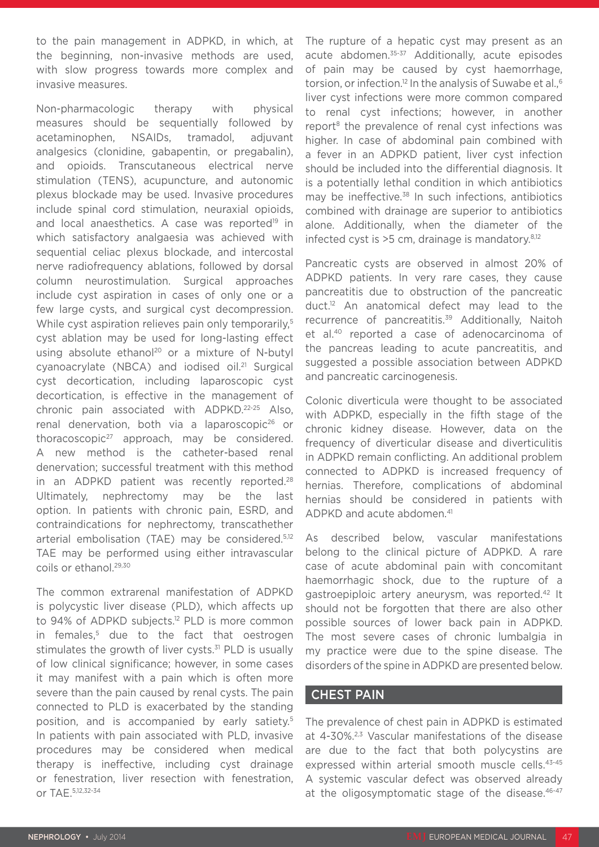to the pain management in ADPKD, in which, at the beginning, non-invasive methods are used, with slow progress towards more complex and invasive measures.

Non-pharmacologic therapy with physical measures should be sequentially followed by acetaminophen, NSAIDs, tramadol, adjuvant analgesics (clonidine, gabapentin, or pregabalin), and opioids. Transcutaneous electrical nerve stimulation (TENS), acupuncture, and autonomic plexus blockade may be used. Invasive procedures include spinal cord stimulation, neuraxial opioids, and local anaesthetics. A case was reported<sup>19</sup> in which satisfactory analgaesia was achieved with sequential celiac plexus blockade, and intercostal nerve radiofrequency ablations, followed by dorsal column neurostimulation. Surgical approaches include cyst aspiration in cases of only one or a few large cysts, and surgical cyst decompression. While cyst aspiration relieves pain only temporarily,<sup>5</sup> cyst ablation may be used for long-lasting effect using absolute ethanol<sup>20</sup> or a mixture of N-butyl cyanoacrylate (NBCA) and iodised oil.<sup>21</sup> Surgical cyst decortication, including laparoscopic cyst decortication, is effective in the management of chronic pain associated with ADPKD.22-25 Also, renal denervation, both via a laparoscopic<sup>26</sup> or thoracoscopic27 approach, may be considered. A new method is the catheter-based renal denervation; successful treatment with this method in an ADPKD patient was recently reported.<sup>28</sup> Ultimately, nephrectomy may be the last option. In patients with chronic pain, ESRD, and contraindications for nephrectomy, transcathether arterial embolisation (TAE) may be considered.5,12 TAE may be performed using either intravascular coils or ethanol.<sup>29,30</sup>

The common extrarenal manifestation of ADPKD is polycystic liver disease (PLD), which affects up to 94% of ADPKD subjects.<sup>12</sup> PLD is more common in females.<sup>5</sup> due to the fact that oestrogen stimulates the growth of liver cysts.<sup>31</sup> PLD is usually of low clinical significance; however, in some cases it may manifest with a pain which is often more severe than the pain caused by renal cysts. The pain connected to PLD is exacerbated by the standing position, and is accompanied by early satiety.5 In patients with pain associated with PLD, invasive procedures may be considered when medical therapy is ineffective, including cyst drainage or fenestration, liver resection with fenestration, or TAE.5,12,32-34

The rupture of a hepatic cyst may present as an acute abdomen.<sup>35-37</sup> Additionally, acute episodes of pain may be caused by cyst haemorrhage, torsion, or infection.<sup>12</sup> In the analysis of Suwabe et al.,<sup>6</sup> liver cyst infections were more common compared to renal cyst infections; however, in another report<sup>8</sup> the prevalence of renal cyst infections was higher. In case of abdominal pain combined with a fever in an ADPKD patient, liver cyst infection should be included into the differential diagnosis. It is a potentially lethal condition in which antibiotics may be ineffective.<sup>38</sup> In such infections, antibiotics combined with drainage are superior to antibiotics alone. Additionally, when the diameter of the infected cyst is >5 cm, drainage is mandatory.8,12

Pancreatic cysts are observed in almost 20% of ADPKD patients. In very rare cases, they cause pancreatitis due to obstruction of the pancreatic duct.12 An anatomical defect may lead to the recurrence of pancreatitis.<sup>39</sup> Additionally, Naitoh et al.40 reported a case of adenocarcinoma of the pancreas leading to acute pancreatitis, and suggested a possible association between ADPKD and pancreatic carcinogenesis.

Colonic diverticula were thought to be associated with ADPKD, especially in the fifth stage of the chronic kidney disease. However, data on the frequency of diverticular disease and diverticulitis in ADPKD remain conflicting. An additional problem connected to ADPKD is increased frequency of hernias. Therefore, complications of abdominal hernias should be considered in patients with ADPKD and acute abdomen.<sup>41</sup>

As described below, vascular manifestations belong to the clinical picture of ADPKD. A rare case of acute abdominal pain with concomitant haemorrhagic shock, due to the rupture of a gastroepiploic artery aneurysm, was reported.42 It should not be forgotten that there are also other possible sources of lower back pain in ADPKD. The most severe cases of chronic lumbalgia in my practice were due to the spine disease. The disorders of the spine in ADPKD are presented below.

#### CHEST PAIN

The prevalence of chest pain in ADPKD is estimated at 4-30%.<sup>2,3</sup> Vascular manifestations of the disease are due to the fact that both polycystins are expressed within arterial smooth muscle cells.<sup>43-45</sup> A systemic vascular defect was observed already at the oligosymptomatic stage of the disease.<sup>46-47</sup>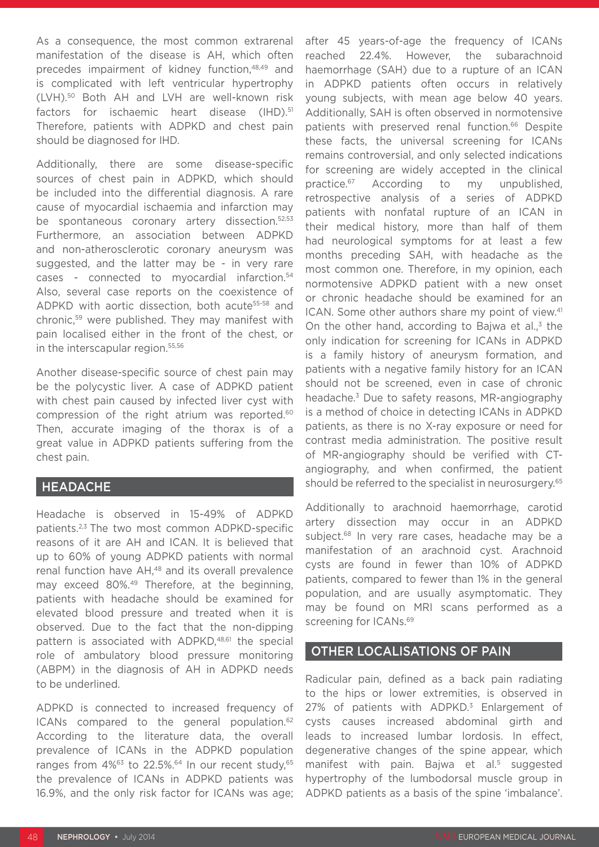As a consequence, the most common extrarenal manifestation of the disease is AH, which often precedes impairment of kidney function,<sup>48,49</sup> and is complicated with left ventricular hypertrophy (LVH).50 Both AH and LVH are well-known risk factors for ischaemic heart disease (IHD).<sup>51</sup> Therefore, patients with ADPKD and chest pain should be diagnosed for IHD.

Additionally, there are some disease-specific sources of chest pain in ADPKD, which should be included into the differential diagnosis. A rare cause of myocardial ischaemia and infarction may be spontaneous coronary artery dissection.<sup>52,53</sup> Furthermore, an association between ADPKD and non-atherosclerotic coronary aneurysm was suggested, and the latter may be - in very rare cases - connected to myocardial infarction.54 Also, several case reports on the coexistence of ADPKD with aortic dissection, both acute<sup>55-58</sup> and chronic,59 were published. They may manifest with pain localised either in the front of the chest, or in the interscapular region.55,56

Another disease-specific source of chest pain may be the polycystic liver. A case of ADPKD patient with chest pain caused by infected liver cyst with compression of the right atrium was reported.60 Then, accurate imaging of the thorax is of a great value in ADPKD patients suffering from the chest pain.

#### HEADACHE

Headache is observed in 15-49% of ADPKD patients.2,3 The two most common ADPKD-specific reasons of it are AH and ICAN. It is believed that up to 60% of young ADPKD patients with normal renal function have AH,<sup>48</sup> and its overall prevalence may exceed 80%.49 Therefore, at the beginning, patients with headache should be examined for elevated blood pressure and treated when it is observed. Due to the fact that the non-dipping pattern is associated with ADPKD,<sup>48,61</sup> the special role of ambulatory blood pressure monitoring (ABPM) in the diagnosis of AH in ADPKD needs to be underlined.

ADPKD is connected to increased frequency of ICANs compared to the general population.<sup>62</sup> According to the literature data, the overall prevalence of ICANs in the ADPKD population ranges from  $4\%$ <sup>63</sup> to 22.5%.<sup>64</sup> In our recent study,<sup>65</sup> the prevalence of ICANs in ADPKD patients was 16.9%, and the only risk factor for ICANs was age;

after 45 years-of-age the frequency of ICANs reached 22.4%. However, the subarachnoid haemorrhage (SAH) due to a rupture of an ICAN in ADPKD patients often occurs in relatively young subjects, with mean age below 40 years. Additionally, SAH is often observed in normotensive patients with preserved renal function.<sup>66</sup> Despite these facts, the universal screening for ICANs remains controversial, and only selected indications for screening are widely accepted in the clinical practice.<sup>67</sup> According to my unpublished, retrospective analysis of a series of ADPKD patients with nonfatal rupture of an ICAN in their medical history, more than half of them had neurological symptoms for at least a few months preceding SAH, with headache as the most common one. Therefore, in my opinion, each normotensive ADPKD patient with a new onset or chronic headache should be examined for an ICAN. Some other authors share my point of view.<sup>41</sup> On the other hand, according to Bajwa et al. $3$  the only indication for screening for ICANs in ADPKD is a family history of aneurysm formation, and patients with a negative family history for an ICAN should not be screened, even in case of chronic headache.<sup>3</sup> Due to safety reasons, MR-angiography is a method of choice in detecting ICANs in ADPKD patients, as there is no X-ray exposure or need for contrast media administration. The positive result of MR-angiography should be verified with CTangiography, and when confirmed, the patient should be referred to the specialist in neurosurgery.<sup>65</sup>

Additionally to arachnoid haemorrhage, carotid artery dissection may occur in an ADPKD subject.<sup>68</sup> In very rare cases, headache may be a manifestation of an arachnoid cyst. Arachnoid cysts are found in fewer than 10% of ADPKD patients, compared to fewer than 1% in the general population, and are usually asymptomatic. They may be found on MRI scans performed as a screening for ICANs.<sup>69</sup>

#### OTHER LOCALISATIONS OF PAIN

Radicular pain, defined as a back pain radiating to the hips or lower extremities, is observed in 27% of patients with ADPKD.<sup>3</sup> Enlargement of cysts causes increased abdominal girth and leads to increased lumbar lordosis. In effect, degenerative changes of the spine appear, which manifest with pain. Bajwa et al.<sup>5</sup> suggested hypertrophy of the lumbodorsal muscle group in ADPKD patients as a basis of the spine 'imbalance'.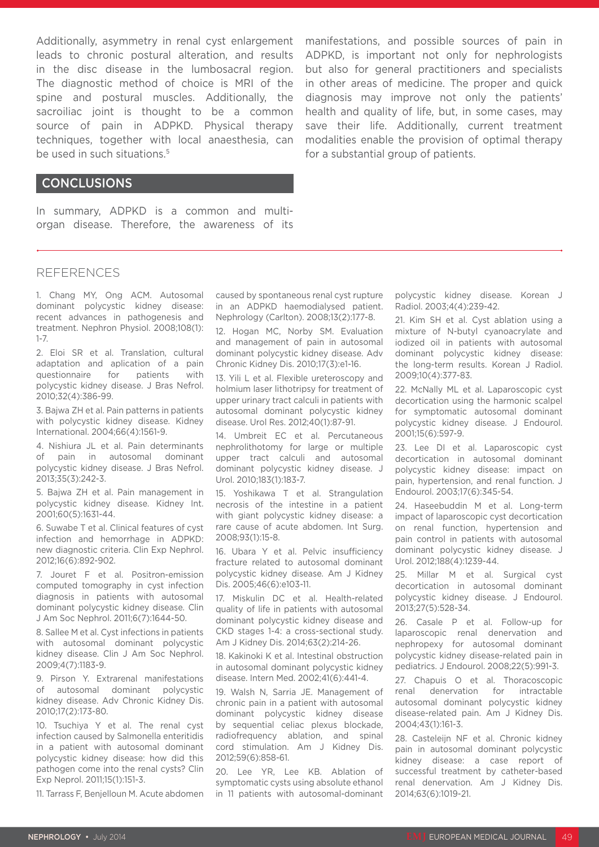Additionally, asymmetry in renal cyst enlargement leads to chronic postural alteration, and results in the disc disease in the lumbosacral region. The diagnostic method of choice is MRI of the spine and postural muscles. Additionally, the sacroiliac joint is thought to be a common source of pain in ADPKD. Physical therapy techniques, together with local anaesthesia, can be used in such situations.<sup>5</sup>

manifestations, and possible sources of pain in ADPKD, is important not only for nephrologists but also for general practitioners and specialists in other areas of medicine. The proper and quick diagnosis may improve not only the patients' health and quality of life, but, in some cases, may save their life. Additionally, current treatment modalities enable the provision of optimal therapy for a substantial group of patients.

## **CONCLUSIONS**

In summary, ADPKD is a common and multiorgan disease. Therefore, the awareness of its

#### REFERENCES

1. Chang MY, Ong ACM. Autosomal dominant polycystic kidney disease: recent advances in pathogenesis and treatment. Nephron Physiol. 2008;108(1): 1-7.

2. Eloi SR et al. Translation, cultural adaptation and aplication of a pain questionnaire for patients with polycystic kidney disease. J Bras Nefrol. 2010;32(4):386-99.

3. Bajwa ZH et al. Pain patterns in patients with polycystic kidney disease. Kidney International. 2004;66(4):1561-9.

4. Nishiura JL et al. Pain determinants of pain in autosomal dominant polycystic kidney disease. J Bras Nefrol. 2013;35(3):242-3.

5. Bajwa ZH et al. Pain management in polycystic kidney disease. Kidney Int. 2001;60(5):1631-44.

6. Suwabe T et al. Clinical features of cyst infection and hemorrhage in ADPKD: new diagnostic criteria. Clin Exp Nephrol. 2012;16(6):892-902.

7. Jouret F et al. Positron-emission computed tomography in cyst infection diagnosis in patients with autosomal dominant polycystic kidney disease. Clin J Am Soc Nephrol. 2011;6(7):1644-50.

8. Sallee M et al. Cyst infections in patients with autosomal dominant polycystic kidney disease. Clin J Am Soc Nephrol. 2009;4(7):1183-9.

9. Pirson Y. Extrarenal manifestations of autosomal dominant polycystic kidney disease. Adv Chronic Kidney Dis. 2010;17(2):173-80.

10. Tsuchiya Y et al. The renal cyst infection caused by Salmonella enteritidis in a patient with autosomal dominant polycystic kidney disease: how did this pathogen come into the renal cysts? Clin Exp Neprol. 2011;15(1):151-3.

11. Tarrass F, Benjelloun M. Acute abdomen

caused by spontaneous renal cyst rupture in an ADPKD haemodialysed patient. Nephrology (Carlton). 2008;13(2):177-8.

12. Hogan MC, Norby SM. Evaluation and management of pain in autosomal dominant polycystic kidney disease. Adv Chronic Kidney Dis. 2010;17(3):e1-16.

13. Yili L et al. Flexible ureteroscopy and holmium laser lithotripsy for treatment of upper urinary tract calculi in patients with autosomal dominant polycystic kidney disease. Urol Res. 2012;40(1):87-91.

14. Umbreit EC et al. Percutaneous nephrolithotomy for large or multiple upper tract calculi and autosomal dominant polycystic kidney disease. J Urol. 2010;183(1):183-7.

15. Yoshikawa T et al. Strangulation necrosis of the intestine in a patient with giant polycystic kidney disease: a rare cause of acute abdomen. Int Surg. 2008;93(1):15-8.

16. Ubara Y et al. Pelvic insufficiency fracture related to autosomal dominant polycystic kidney disease. Am J Kidney Dis. 2005;46(6):e103-11.

17. Miskulin DC et al. Health-related quality of life in patients with autosomal dominant polycystic kidney disease and CKD stages 1-4: a cross-sectional study. Am J Kidney Dis. 2014;63(2):214-26.

18. Kakinoki K et al. Intestinal obstruction in autosomal dominant polycystic kidney disease. Intern Med. 2002;41(6):441-4.

19. Walsh N, Sarria JE. Management of chronic pain in a patient with autosomal dominant polycystic kidney disease by sequential celiac plexus blockade, radiofrequency ablation, and spinal cord stimulation. Am J Kidney Dis. 2012;59(6):858-61.

20. Lee YR, Lee KB. Ablation of symptomatic cysts using absolute ethanol in 11 patients with autosomal-dominant polycystic kidney disease. Korean J Radiol. 2003;4(4):239-42.

21. Kim SH et al. Cyst ablation using a mixture of N-butyl cyanoacrylate and iodized oil in patients with autosomal dominant polycystic kidney disease: the long-term results. Korean J Radiol. 2009;10(4):377-83.

22. McNally ML et al. Laparoscopic cyst decortication using the harmonic scalpel for symptomatic autosomal dominant polycystic kidney disease. J Endourol. 2001;15(6):597-9.

23. Lee DI et al. Laparoscopic cyst decortication in autosomal dominant polycystic kidney disease: impact on pain, hypertension, and renal function. J Endourol. 2003;17(6):345-54.

24. Haseebuddin M et al. Long-term impact of laparoscopic cyst decortication on renal function, hypertension and pain control in patients with autosomal dominant polycystic kidney disease. J Urol. 2012;188(4):1239-44.

25. Millar M et al. Surgical cyst decortication in autosomal dominant polycystic kidney disease. J Endourol. 2013;27(5):528-34.

26. Casale P et al. Follow-up for laparoscopic renal denervation and nephropexy for autosomal dominant polycystic kidney disease-related pain in pediatrics. J Endourol. 2008;22(5):991-3.

27. Chapuis O et al. Thoracoscopic renal denervation for intractable autosomal dominant polycystic kidney disease-related pain. Am J Kidney Dis. 2004;43(1):161-3.

28. Casteleijn NF et al. Chronic kidney pain in autosomal dominant polycystic kidney disease: a case report of successful treatment by catheter-based renal denervation. Am J Kidney Dis. 2014;63(6):1019-21.